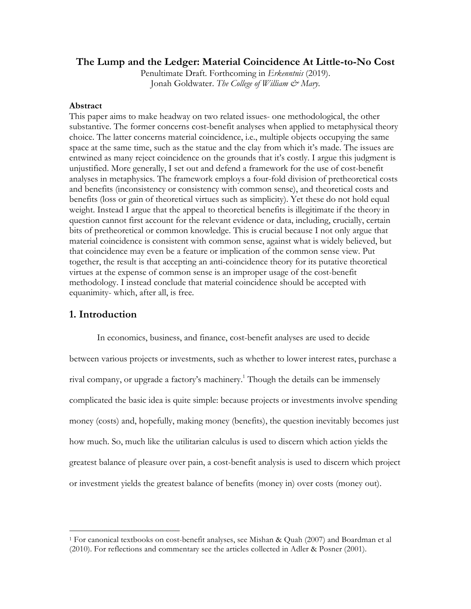## **The Lump and the Ledger: Material Coincidence At Little-to-No Cost**

Penultimate Draft. Forthcoming in *Erkenntnis* (2019). Jonah Goldwater. *The College of William & Mary*.

## **Abstract**

This paper aims to make headway on two related issues- one methodological, the other substantive. The former concerns cost-benefit analyses when applied to metaphysical theory choice. The latter concerns material coincidence, i.e., multiple objects occupying the same space at the same time, such as the statue and the clay from which it's made. The issues are entwined as many reject coincidence on the grounds that it's costly. I argue this judgment is unjustified. More generally, I set out and defend a framework for the use of cost-benefit analyses in metaphysics. The framework employs a four-fold division of pretheoretical costs and benefits (inconsistency or consistency with common sense), and theoretical costs and benefits (loss or gain of theoretical virtues such as simplicity). Yet these do not hold equal weight. Instead I argue that the appeal to theoretical benefits is illegitimate if the theory in question cannot first account for the relevant evidence or data, including, crucially, certain bits of pretheoretical or common knowledge. This is crucial because I not only argue that material coincidence is consistent with common sense, against what is widely believed, but that coincidence may even be a feature or implication of the common sense view. Put together, the result is that accepting an anti-coincidence theory for its putative theoretical virtues at the expense of common sense is an improper usage of the cost-benefit methodology. I instead conclude that material coincidence should be accepted with equanimity- which, after all, is free.

# **1. Introduction**

 $\overline{a}$ 

In economics, business, and finance, cost-benefit analyses are used to decide between various projects or investments, such as whether to lower interest rates, purchase a rival company, or upgrade a factory's machinery.<sup>1</sup> Though the details can be immensely complicated the basic idea is quite simple: because projects or investments involve spending money (costs) and, hopefully, making money (benefits), the question inevitably becomes just how much. So, much like the utilitarian calculus is used to discern which action yields the greatest balance of pleasure over pain, a cost-benefit analysis is used to discern which project or investment yields the greatest balance of benefits (money in) over costs (money out).

<sup>1</sup> For canonical textbooks on cost-benefit analyses, see Mishan & Quah (2007) and Boardman et al (2010). For reflections and commentary see the articles collected in Adler & Posner (2001).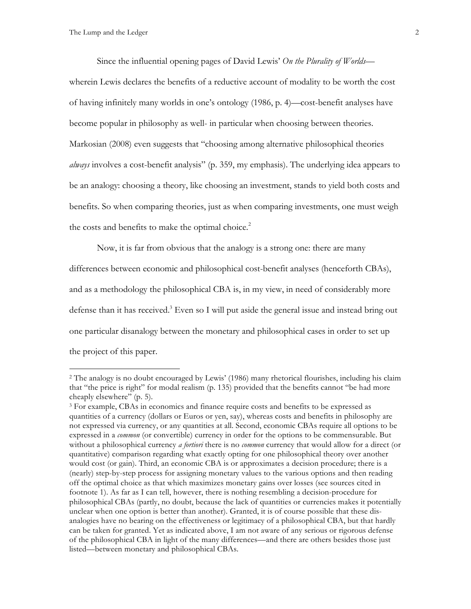Since the influential opening pages of David Lewis' *On the Plurality of Worlds* wherein Lewis declares the benefits of a reductive account of modality to be worth the cost of having infinitely many worlds in one's ontology (1986, p. 4)—cost-benefit analyses have become popular in philosophy as well- in particular when choosing between theories. Markosian (2008) even suggests that "choosing among alternative philosophical theories *always* involves a cost-benefit analysis" (p. 359, my emphasis). The underlying idea appears to be an analogy: choosing a theory, like choosing an investment, stands to yield both costs and benefits. So when comparing theories, just as when comparing investments, one must weigh the costs and benefits to make the optimal choice.<sup>2</sup>

Now, it is far from obvious that the analogy is a strong one: there are many differences between economic and philosophical cost-benefit analyses (henceforth CBAs), and as a methodology the philosophical CBA is, in my view, in need of considerably more defense than it has received.<sup>3</sup> Even so I will put aside the general issue and instead bring out one particular disanalogy between the monetary and philosophical cases in order to set up the project of this paper.

<sup>2</sup> The analogy is no doubt encouraged by Lewis' (1986) many rhetorical flourishes, including his claim that "the price is right" for modal realism (p. 135) provided that the benefits cannot "be had more cheaply elsewhere" (p. 5).

<sup>3</sup> For example, CBAs in economics and finance require costs and benefits to be expressed as quantities of a currency (dollars or Euros or yen, say), whereas costs and benefits in philosophy are not expressed via currency, or any quantities at all. Second, economic CBAs require all options to be expressed in a *common* (or convertible) currency in order for the options to be commensurable. But without a philosophical currency *a fortiori* there is no *common* currency that would allow for a direct (or quantitative) comparison regarding what exactly opting for one philosophical theory over another would cost (or gain). Third, an economic CBA is or approximates a decision procedure; there is a (nearly) step-by-step process for assigning monetary values to the various options and then reading off the optimal choice as that which maximizes monetary gains over losses (see sources cited in footnote 1). As far as I can tell, however, there is nothing resembling a decision-procedure for philosophical CBAs (partly, no doubt, because the lack of quantities or currencies makes it potentially unclear when one option is better than another). Granted, it is of course possible that these disanalogies have no bearing on the effectiveness or legitimacy of a philosophical CBA, but that hardly can be taken for granted. Yet as indicated above, I am not aware of any serious or rigorous defense of the philosophical CBA in light of the many differences—and there are others besides those just listed—between monetary and philosophical CBAs.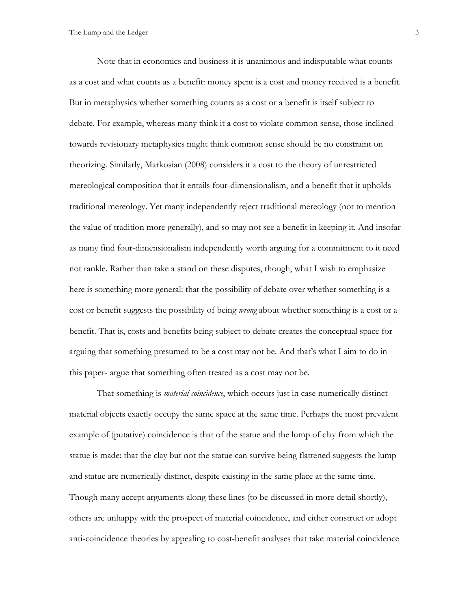Note that in economics and business it is unanimous and indisputable what counts as a cost and what counts as a benefit: money spent is a cost and money received is a benefit. But in metaphysics whether something counts as a cost or a benefit is itself subject to debate. For example, whereas many think it a cost to violate common sense, those inclined towards revisionary metaphysics might think common sense should be no constraint on theorizing. Similarly, Markosian (2008) considers it a cost to the theory of unrestricted mereological composition that it entails four-dimensionalism, and a benefit that it upholds traditional mereology. Yet many independently reject traditional mereology (not to mention the value of tradition more generally), and so may not see a benefit in keeping it. And insofar as many find four-dimensionalism independently worth arguing for a commitment to it need not rankle. Rather than take a stand on these disputes, though, what I wish to emphasize here is something more general: that the possibility of debate over whether something is a cost or benefit suggests the possibility of being *wrong* about whether something is a cost or a benefit. That is, costs and benefits being subject to debate creates the conceptual space for arguing that something presumed to be a cost may not be. And that's what I aim to do in this paper- argue that something often treated as a cost may not be.

That something is *material coincidence*, which occurs just in case numerically distinct material objects exactly occupy the same space at the same time. Perhaps the most prevalent example of (putative) coincidence is that of the statue and the lump of clay from which the statue is made: that the clay but not the statue can survive being flattened suggests the lump and statue are numerically distinct, despite existing in the same place at the same time. Though many accept arguments along these lines (to be discussed in more detail shortly), others are unhappy with the prospect of material coincidence, and either construct or adopt anti-coincidence theories by appealing to cost-benefit analyses that take material coincidence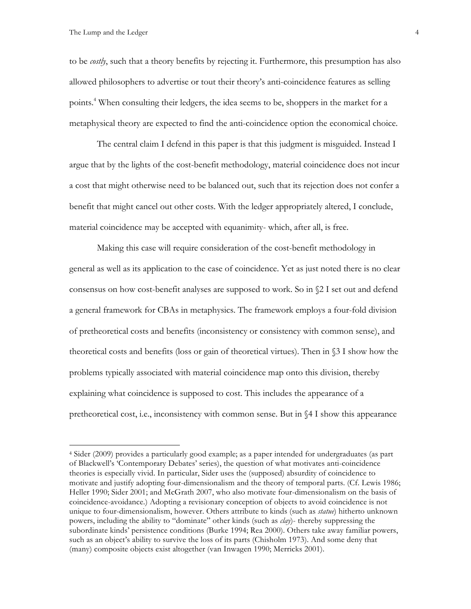to be *costly*, such that a theory benefits by rejecting it. Furthermore, this presumption has also allowed philosophers to advertise or tout their theory's anti-coincidence features as selling points.<sup>4</sup> When consulting their ledgers, the idea seems to be, shoppers in the market for a metaphysical theory are expected to find the anti-coincidence option the economical choice.

The central claim I defend in this paper is that this judgment is misguided. Instead I argue that by the lights of the cost-benefit methodology, material coincidence does not incur a cost that might otherwise need to be balanced out, such that its rejection does not confer a benefit that might cancel out other costs. With the ledger appropriately altered, I conclude, material coincidence may be accepted with equanimity- which, after all, is free.

Making this case will require consideration of the cost-benefit methodology in general as well as its application to the case of coincidence. Yet as just noted there is no clear consensus on how cost-benefit analyses are supposed to work. So in §2 I set out and defend a general framework for CBAs in metaphysics. The framework employs a four-fold division of pretheoretical costs and benefits (inconsistency or consistency with common sense), and theoretical costs and benefits (loss or gain of theoretical virtues). Then in §3 I show how the problems typically associated with material coincidence map onto this division, thereby explaining what coincidence is supposed to cost. This includes the appearance of a pretheoretical cost, i.e., inconsistency with common sense. But in §4 I show this appearance

<sup>4</sup> Sider (2009) provides a particularly good example; as a paper intended for undergraduates (as part of Blackwell's 'Contemporary Debates' series), the question of what motivates anti-coincidence theories is especially vivid. In particular, Sider uses the (supposed) absurdity of coincidence to motivate and justify adopting four-dimensionalism and the theory of temporal parts. (Cf. Lewis 1986; Heller 1990; Sider 2001; and McGrath 2007, who also motivate four-dimensionalism on the basis of coincidence-avoidance.) Adopting a revisionary conception of objects to avoid coincidence is not unique to four-dimensionalism, however. Others attribute to kinds (such as *statue*) hitherto unknown powers, including the ability to "dominate" other kinds (such as *clay*)- thereby suppressing the subordinate kinds' persistence conditions (Burke 1994; Rea 2000). Others take away familiar powers, such as an object's ability to survive the loss of its parts (Chisholm 1973). And some deny that (many) composite objects exist altogether (van Inwagen 1990; Merricks 2001).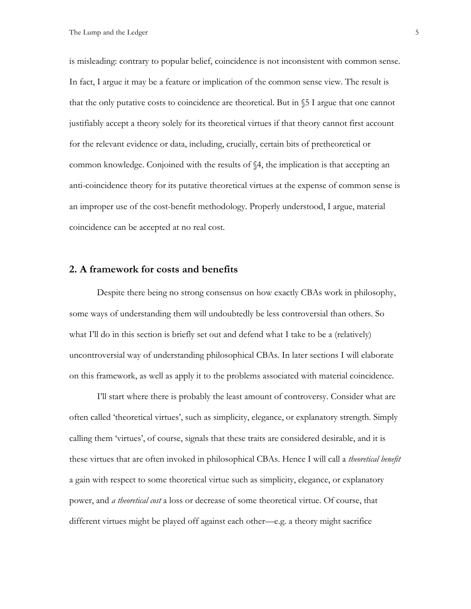is misleading: contrary to popular belief, coincidence is not inconsistent with common sense. In fact, I argue it may be a feature or implication of the common sense view. The result is that the only putative costs to coincidence are theoretical. But in §5 I argue that one cannot justifiably accept a theory solely for its theoretical virtues if that theory cannot first account for the relevant evidence or data, including, crucially, certain bits of pretheoretical or common knowledge. Conjoined with the results of §4, the implication is that accepting an anti-coincidence theory for its putative theoretical virtues at the expense of common sense is an improper use of the cost-benefit methodology. Properly understood, I argue, material coincidence can be accepted at no real cost.

#### **2. A framework for costs and benefits**

Despite there being no strong consensus on how exactly CBAs work in philosophy, some ways of understanding them will undoubtedly be less controversial than others. So what I'll do in this section is briefly set out and defend what I take to be a (relatively) uncontroversial way of understanding philosophical CBAs. In later sections I will elaborate on this framework, as well as apply it to the problems associated with material coincidence.

I'll start where there is probably the least amount of controversy. Consider what are often called 'theoretical virtues', such as simplicity, elegance, or explanatory strength. Simply calling them 'virtues', of course, signals that these traits are considered desirable, and it is these virtues that are often invoked in philosophical CBAs. Hence I will call a *theoretical benefit* a gain with respect to some theoretical virtue such as simplicity, elegance, or explanatory power, and *a theoretical cost* a loss or decrease of some theoretical virtue. Of course, that different virtues might be played off against each other—e.g. a theory might sacrifice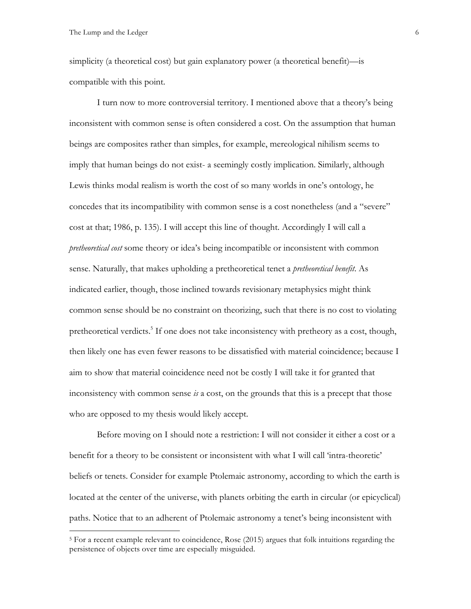simplicity (a theoretical cost) but gain explanatory power (a theoretical benefit)—is compatible with this point.

I turn now to more controversial territory. I mentioned above that a theory's being inconsistent with common sense is often considered a cost. On the assumption that human beings are composites rather than simples, for example, mereological nihilism seems to imply that human beings do not exist- a seemingly costly implication. Similarly, although Lewis thinks modal realism is worth the cost of so many worlds in one's ontology, he concedes that its incompatibility with common sense is a cost nonetheless (and a "severe" cost at that; 1986, p. 135). I will accept this line of thought. Accordingly I will call a *pretheoretical cost* some theory or idea's being incompatible or inconsistent with common sense. Naturally, that makes upholding a pretheoretical tenet a *pretheoretical benefit*. As indicated earlier, though, those inclined towards revisionary metaphysics might think common sense should be no constraint on theorizing, such that there is no cost to violating pretheoretical verdicts.<sup>5</sup> If one does not take inconsistency with pretheory as a cost, though, then likely one has even fewer reasons to be dissatisfied with material coincidence; because I aim to show that material coincidence need not be costly I will take it for granted that inconsistency with common sense *is* a cost, on the grounds that this is a precept that those who are opposed to my thesis would likely accept.

Before moving on I should note a restriction: I will not consider it either a cost or a benefit for a theory to be consistent or inconsistent with what I will call 'intra-theoretic' beliefs or tenets. Consider for example Ptolemaic astronomy, according to which the earth is located at the center of the universe, with planets orbiting the earth in circular (or epicyclical) paths. Notice that to an adherent of Ptolemaic astronomy a tenet's being inconsistent with

<sup>5</sup> For a recent example relevant to coincidence, Rose (2015) argues that folk intuitions regarding the persistence of objects over time are especially misguided.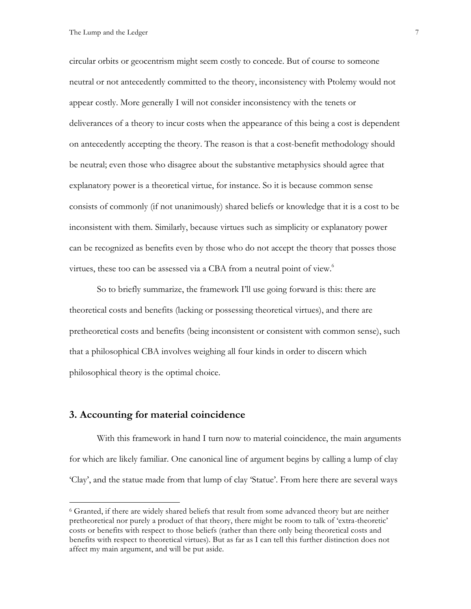circular orbits or geocentrism might seem costly to concede. But of course to someone neutral or not antecedently committed to the theory, inconsistency with Ptolemy would not appear costly. More generally I will not consider inconsistency with the tenets or deliverances of a theory to incur costs when the appearance of this being a cost is dependent on antecedently accepting the theory. The reason is that a cost-benefit methodology should be neutral; even those who disagree about the substantive metaphysics should agree that explanatory power is a theoretical virtue, for instance. So it is because common sense consists of commonly (if not unanimously) shared beliefs or knowledge that it is a cost to be inconsistent with them. Similarly, because virtues such as simplicity or explanatory power can be recognized as benefits even by those who do not accept the theory that posses those virtues, these too can be assessed via a CBA from a neutral point of view.<sup>6</sup>

So to briefly summarize, the framework I'll use going forward is this: there are theoretical costs and benefits (lacking or possessing theoretical virtues), and there are pretheoretical costs and benefits (being inconsistent or consistent with common sense), such that a philosophical CBA involves weighing all four kinds in order to discern which philosophical theory is the optimal choice.

## **3. Accounting for material coincidence**

 $\overline{a}$ 

With this framework in hand I turn now to material coincidence, the main arguments for which are likely familiar. One canonical line of argument begins by calling a lump of clay 'Clay', and the statue made from that lump of clay 'Statue'. From here there are several ways

<sup>6</sup> Granted, if there are widely shared beliefs that result from some advanced theory but are neither pretheoretical nor purely a product of that theory, there might be room to talk of 'extra-theoretic' costs or benefits with respect to those beliefs (rather than there only being theoretical costs and benefits with respect to theoretical virtues). But as far as I can tell this further distinction does not affect my main argument, and will be put aside.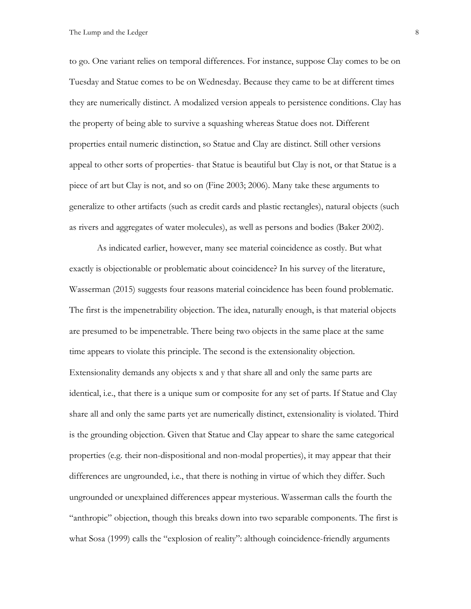to go. One variant relies on temporal differences. For instance, suppose Clay comes to be on Tuesday and Statue comes to be on Wednesday. Because they came to be at different times they are numerically distinct. A modalized version appeals to persistence conditions. Clay has the property of being able to survive a squashing whereas Statue does not. Different properties entail numeric distinction, so Statue and Clay are distinct. Still other versions appeal to other sorts of properties- that Statue is beautiful but Clay is not, or that Statue is a piece of art but Clay is not, and so on (Fine 2003; 2006). Many take these arguments to generalize to other artifacts (such as credit cards and plastic rectangles), natural objects (such as rivers and aggregates of water molecules), as well as persons and bodies (Baker 2002).

As indicated earlier, however, many see material coincidence as costly. But what exactly is objectionable or problematic about coincidence? In his survey of the literature, Wasserman (2015) suggests four reasons material coincidence has been found problematic. The first is the impenetrability objection. The idea, naturally enough, is that material objects are presumed to be impenetrable. There being two objects in the same place at the same time appears to violate this principle. The second is the extensionality objection. Extensionality demands any objects x and y that share all and only the same parts are identical, i.e., that there is a unique sum or composite for any set of parts. If Statue and Clay share all and only the same parts yet are numerically distinct, extensionality is violated. Third is the grounding objection. Given that Statue and Clay appear to share the same categorical properties (e.g. their non-dispositional and non-modal properties), it may appear that their differences are ungrounded, i.e., that there is nothing in virtue of which they differ. Such ungrounded or unexplained differences appear mysterious. Wasserman calls the fourth the "anthropic" objection, though this breaks down into two separable components. The first is what Sosa (1999) calls the "explosion of reality": although coincidence-friendly arguments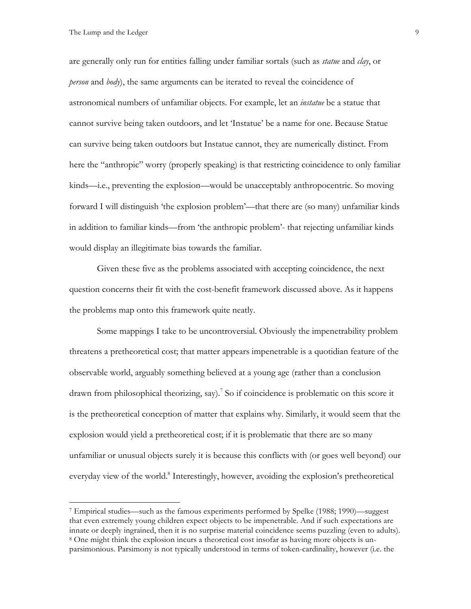are generally only run for entities falling under familiar sortals (such as *statue* and *clay*, or *person* and *body*), the same arguments can be iterated to reveal the coincidence of astronomical numbers of unfamiliar objects. For example, let an *instatue* be a statue that cannot survive being taken outdoors, and let 'Instatue' be a name for one. Because Statue can survive being taken outdoors but Instatue cannot, they are numerically distinct. From here the "anthropic" worry (properly speaking) is that restricting coincidence to only familiar kinds—i.e., preventing the explosion—would be unacceptably anthropocentric. So moving forward I will distinguish 'the explosion problem'—that there are (so many) unfamiliar kinds in addition to familiar kinds—from 'the anthropic problem'- that rejecting unfamiliar kinds would display an illegitimate bias towards the familiar.

Given these five as the problems associated with accepting coincidence, the next question concerns their fit with the cost-benefit framework discussed above. As it happens the problems map onto this framework quite neatly.

Some mappings I take to be uncontroversial. Obviously the impenetrability problem threatens a pretheoretical cost; that matter appears impenetrable is a quotidian feature of the observable world, arguably something believed at a young age (rather than a conclusion drawn from philosophical theorizing, say).<sup>7</sup> So if coincidence is problematic on this score it is the pretheoretical conception of matter that explains why. Similarly, it would seem that the explosion would yield a pretheoretical cost; if it is problematic that there are so many unfamiliar or unusual objects surely it is because this conflicts with (or goes well beyond) our everyday view of the world.<sup>8</sup> Interestingly, however, avoiding the explosion's pretheoretical

<sup>7</sup> Empirical studies—such as the famous experiments performed by Spelke (1988; 1990)—suggest that even extremely young children expect objects to be impenetrable. And if such expectations are innate or deeply ingrained, then it is no surprise material coincidence seems puzzling (even to adults). <sup>8</sup> One might think the explosion incurs a theoretical cost insofar as having more objects is unparsimonious. Parsimony is not typically understood in terms of token-cardinality, however (i.e. the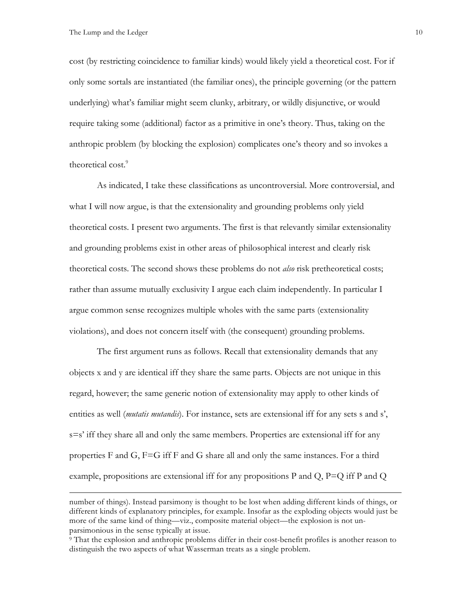cost (by restricting coincidence to familiar kinds) would likely yield a theoretical cost. For if only some sortals are instantiated (the familiar ones), the principle governing (or the pattern underlying) what's familiar might seem clunky, arbitrary, or wildly disjunctive, or would require taking some (additional) factor as a primitive in one's theory. Thus, taking on the anthropic problem (by blocking the explosion) complicates one's theory and so invokes a theoretical cost.<sup>9</sup>

As indicated, I take these classifications as uncontroversial. More controversial, and what I will now argue, is that the extensionality and grounding problems only yield theoretical costs. I present two arguments. The first is that relevantly similar extensionality and grounding problems exist in other areas of philosophical interest and clearly risk theoretical costs. The second shows these problems do not *also* risk pretheoretical costs; rather than assume mutually exclusivity I argue each claim independently. In particular I argue common sense recognizes multiple wholes with the same parts (extensionality violations), and does not concern itself with (the consequent) grounding problems.

The first argument runs as follows. Recall that extensionality demands that any objects x and y are identical iff they share the same parts. Objects are not unique in this regard, however; the same generic notion of extensionality may apply to other kinds of entities as well (*mutatis mutandis*). For instance, sets are extensional iff for any sets s and s', s=s' iff they share all and only the same members. Properties are extensional iff for any properties  $F$  and  $G$ ,  $F = G$  iff  $F$  and  $G$  share all and only the same instances. For a third example, propositions are extensional iff for any propositions P and Q, P=Q iff P and Q

number of things). Instead parsimony is thought to be lost when adding different kinds of things, or different kinds of explanatory principles, for example. Insofar as the exploding objects would just be more of the same kind of thing—viz., composite material object—the explosion is not unparsimonious in the sense typically at issue.

<sup>9</sup> That the explosion and anthropic problems differ in their cost-benefit profiles is another reason to distinguish the two aspects of what Wasserman treats as a single problem.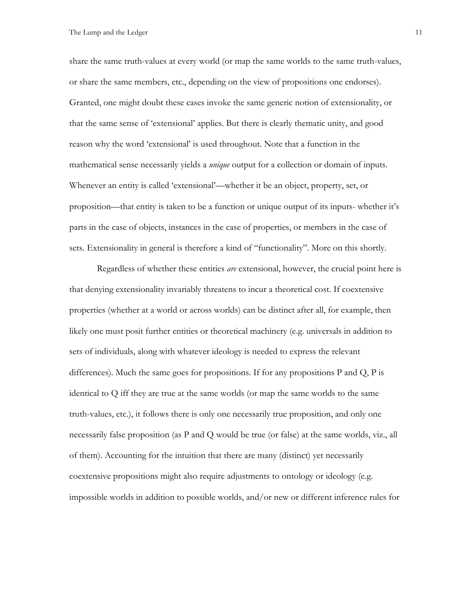share the same truth-values at every world (or map the same worlds to the same truth-values, or share the same members, etc., depending on the view of propositions one endorses). Granted, one might doubt these cases invoke the same generic notion of extensionality, or that the same sense of 'extensional' applies. But there is clearly thematic unity, and good reason why the word 'extensional' is used throughout. Note that a function in the mathematical sense necessarily yields a *unique* output for a collection or domain of inputs. Whenever an entity is called 'extensional'—whether it be an object, property, set, or proposition—that entity is taken to be a function or unique output of its inputs- whether it's parts in the case of objects, instances in the case of properties, or members in the case of sets. Extensionality in general is therefore a kind of "functionality". More on this shortly.

Regardless of whether these entities *are* extensional, however, the crucial point here is that denying extensionality invariably threatens to incur a theoretical cost. If coextensive properties (whether at a world or across worlds) can be distinct after all, for example, then likely one must posit further entities or theoretical machinery (e.g. universals in addition to sets of individuals, along with whatever ideology is needed to express the relevant differences). Much the same goes for propositions. If for any propositions  $P$  and  $Q$ ,  $P$  is identical to Q iff they are true at the same worlds (or map the same worlds to the same truth-values, etc.), it follows there is only one necessarily true proposition, and only one necessarily false proposition (as P and Q would be true (or false) at the same worlds, viz., all of them). Accounting for the intuition that there are many (distinct) yet necessarily coextensive propositions might also require adjustments to ontology or ideology (e.g. impossible worlds in addition to possible worlds, and/or new or different inference rules for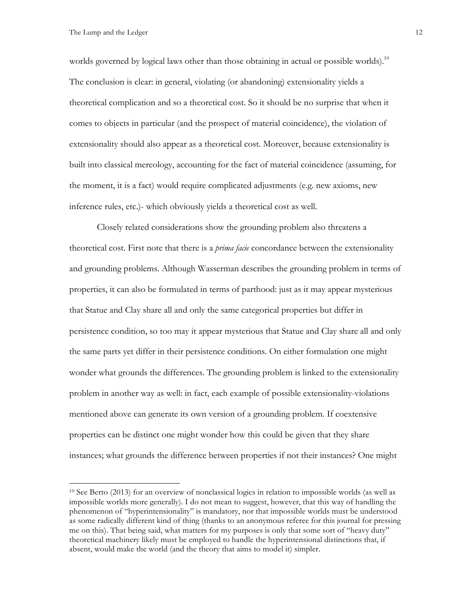worlds governed by logical laws other than those obtaining in actual or possible worlds).<sup>10</sup> The conclusion is clear: in general, violating (or abandoning) extensionality yields a theoretical complication and so a theoretical cost. So it should be no surprise that when it comes to objects in particular (and the prospect of material coincidence), the violation of extensionality should also appear as a theoretical cost. Moreover, because extensionality is built into classical mereology, accounting for the fact of material coincidence (assuming, for the moment, it is a fact) would require complicated adjustments (e.g. new axioms, new inference rules, etc.)- which obviously yields a theoretical cost as well.

Closely related considerations show the grounding problem also threatens a theoretical cost. First note that there is a *prima facie* concordance between the extensionality and grounding problems. Although Wasserman describes the grounding problem in terms of properties, it can also be formulated in terms of parthood: just as it may appear mysterious that Statue and Clay share all and only the same categorical properties but differ in persistence condition, so too may it appear mysterious that Statue and Clay share all and only the same parts yet differ in their persistence conditions. On either formulation one might wonder what grounds the differences. The grounding problem is linked to the extensionality problem in another way as well: in fact, each example of possible extensionality-violations mentioned above can generate its own version of a grounding problem. If coextensive properties can be distinct one might wonder how this could be given that they share instances; what grounds the difference between properties if not their instances? One might

<sup>10</sup> See Berto (2013) for an overview of nonclassical logics in relation to impossible worlds (as well as impossible worlds more generally). I do not mean to suggest, however, that this way of handling the phenomenon of "hyperintensionality" is mandatory, nor that impossible worlds must be understood as some radically different kind of thing (thanks to an anonymous referee for this journal for pressing me on this). That being said, what matters for my purposes is only that some sort of "heavy duty" theoretical machinery likely must be employed to handle the hyperintensional distinctions that, if absent, would make the world (and the theory that aims to model it) simpler.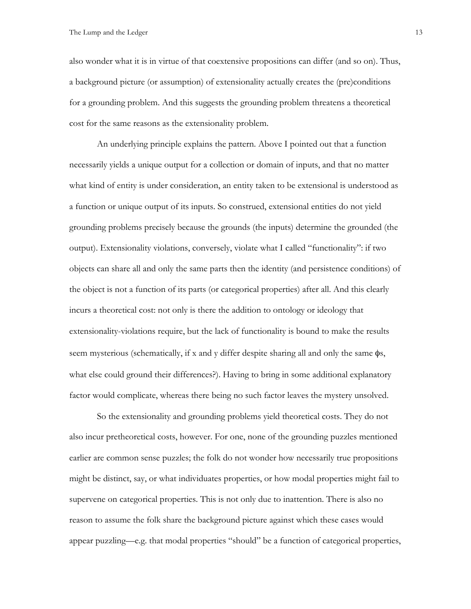also wonder what it is in virtue of that coextensive propositions can differ (and so on). Thus, a background picture (or assumption) of extensionality actually creates the (pre)conditions for a grounding problem. And this suggests the grounding problem threatens a theoretical cost for the same reasons as the extensionality problem.

An underlying principle explains the pattern. Above I pointed out that a function necessarily yields a unique output for a collection or domain of inputs, and that no matter what kind of entity is under consideration, an entity taken to be extensional is understood as a function or unique output of its inputs. So construed, extensional entities do not yield grounding problems precisely because the grounds (the inputs) determine the grounded (the output). Extensionality violations, conversely, violate what I called "functionality": if two objects can share all and only the same parts then the identity (and persistence conditions) of the object is not a function of its parts (or categorical properties) after all. And this clearly incurs a theoretical cost: not only is there the addition to ontology or ideology that extensionality-violations require, but the lack of functionality is bound to make the results seem mysterious (schematically, if x and y differ despite sharing all and only the same φs, what else could ground their differences?). Having to bring in some additional explanatory factor would complicate, whereas there being no such factor leaves the mystery unsolved.

So the extensionality and grounding problems yield theoretical costs. They do not also incur pretheoretical costs, however. For one, none of the grounding puzzles mentioned earlier are common sense puzzles; the folk do not wonder how necessarily true propositions might be distinct, say, or what individuates properties, or how modal properties might fail to supervene on categorical properties. This is not only due to inattention. There is also no reason to assume the folk share the background picture against which these cases would appear puzzling—e.g. that modal properties "should" be a function of categorical properties,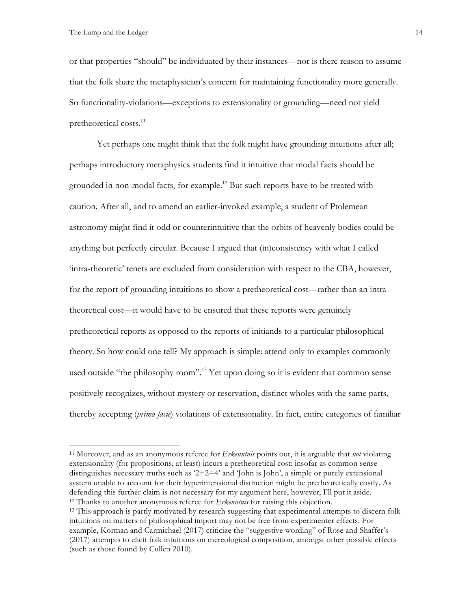or that properties "should" be individuated by their instances—nor is there reason to assume that the folk share the metaphysician's concern for maintaining functionality more generally. So functionality-violations—exceptions to extensionality or grounding—need not yield pretheoretical costs.<sup>11</sup>

Yet perhaps one might think that the folk might have grounding intuitions after all; perhaps introductory metaphysics students find it intuitive that modal facts should be grounded in non-modal facts, for example.<sup>12</sup> But such reports have to be treated with caution. After all, and to amend an earlier-invoked example, a student of Ptolemean astronomy might find it odd or counterintuitive that the orbits of heavenly bodies could be anything but perfectly circular. Because I argued that (in)consistency with what I called 'intra-theoretic' tenets are excluded from consideration with respect to the CBA, however, for the report of grounding intuitions to show a pretheoretical cost—rather than an intratheoretical cost—it would have to be ensured that these reports were genuinely pretheoretical reports as opposed to the reports of initiands to a particular philosophical theory. So how could one tell? My approach is simple: attend only to examples commonly used outside "the philosophy room".<sup>13</sup> Yet upon doing so it is evident that common sense positively recognizes, without mystery or reservation, distinct wholes with the same parts, thereby accepting (*prima facie*) violations of extensionality. In fact, entire categories of familiar

<sup>11</sup> Moreover, and as an anonymous referee for *Erkenntnis* points out, it is arguable that *not* violating extensionality (for propositions, at least) incurs a pretheoretical cost: insofar as common sense distinguishes necessary truths such as  $2+2=4$  and 'John is John', a simple or purely extensional system unable to account for their hyperintensional distinction might be pretheoretically costly. As defending this further claim is not necessary for my argument here, however, I'll put it aside. <sup>12</sup> Thanks to another anonymous referee for *Erkenntnis* for raising this objection.

<sup>13</sup> This approach is partly motivated by research suggesting that experimental attempts to discern folk intuitions on matters of philosophical import may not be free from experimenter effects. For example, Korman and Carmichael (2017) criticize the "suggestive wording" of Rose and Shaffer's (2017) attempts to elicit folk intuitions on mereological composition, amongst other possible effects (such as those found by Cullen 2010).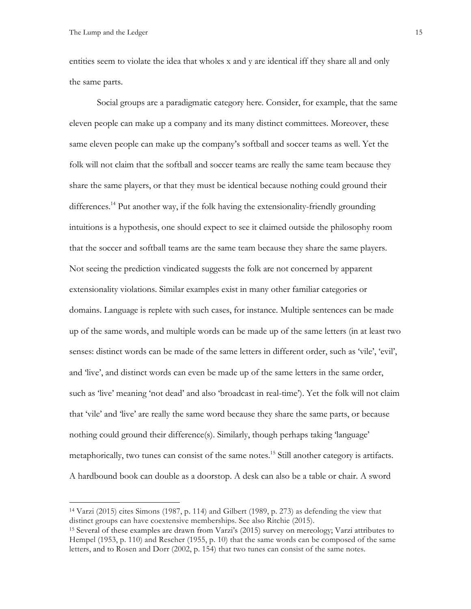entities seem to violate the idea that wholes x and y are identical iff they share all and only the same parts.

Social groups are a paradigmatic category here. Consider, for example, that the same eleven people can make up a company and its many distinct committees. Moreover, these same eleven people can make up the company's softball and soccer teams as well. Yet the folk will not claim that the softball and soccer teams are really the same team because they share the same players, or that they must be identical because nothing could ground their differences.<sup>14</sup> Put another way, if the folk having the extensionality-friendly grounding intuitions is a hypothesis, one should expect to see it claimed outside the philosophy room that the soccer and softball teams are the same team because they share the same players. Not seeing the prediction vindicated suggests the folk are not concerned by apparent extensionality violations. Similar examples exist in many other familiar categories or domains. Language is replete with such cases, for instance. Multiple sentences can be made up of the same words, and multiple words can be made up of the same letters (in at least two senses: distinct words can be made of the same letters in different order, such as 'vile', 'evil', and 'live', and distinct words can even be made up of the same letters in the same order, such as 'live' meaning 'not dead' and also 'broadcast in real-time'). Yet the folk will not claim that 'vile' and 'live' are really the same word because they share the same parts, or because nothing could ground their difference(s). Similarly, though perhaps taking 'language' metaphorically, two tunes can consist of the same notes.<sup>15</sup> Still another category is artifacts. A hardbound book can double as a doorstop. A desk can also be a table or chair. A sword

<sup>14</sup> Varzi (2015) cites Simons (1987, p. 114) and Gilbert (1989, p. 273) as defending the view that distinct groups can have coextensive memberships. See also Ritchie (2015).

<sup>15</sup> Several of these examples are drawn from Varzi's (2015) survey on mereology; Varzi attributes to Hempel (1953, p. 110) and Rescher (1955, p. 10) that the same words can be composed of the same letters, and to Rosen and Dorr (2002, p. 154) that two tunes can consist of the same notes.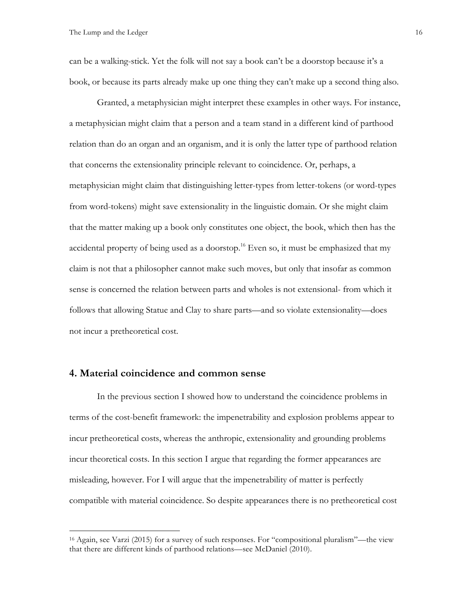can be a walking-stick. Yet the folk will not say a book can't be a doorstop because it's a book, or because its parts already make up one thing they can't make up a second thing also.

Granted, a metaphysician might interpret these examples in other ways. For instance, a metaphysician might claim that a person and a team stand in a different kind of parthood relation than do an organ and an organism, and it is only the latter type of parthood relation that concerns the extensionality principle relevant to coincidence. Or, perhaps, a metaphysician might claim that distinguishing letter-types from letter-tokens (or word-types from word-tokens) might save extensionality in the linguistic domain. Or she might claim that the matter making up a book only constitutes one object, the book, which then has the accidental property of being used as a doorstop.<sup>16</sup> Even so, it must be emphasized that my claim is not that a philosopher cannot make such moves, but only that insofar as common sense is concerned the relation between parts and wholes is not extensional- from which it follows that allowing Statue and Clay to share parts—and so violate extensionality—does not incur a pretheoretical cost.

### **4. Material coincidence and common sense**

 $\overline{a}$ 

In the previous section I showed how to understand the coincidence problems in terms of the cost-benefit framework: the impenetrability and explosion problems appear to incur pretheoretical costs, whereas the anthropic, extensionality and grounding problems incur theoretical costs. In this section I argue that regarding the former appearances are misleading, however. For I will argue that the impenetrability of matter is perfectly compatible with material coincidence. So despite appearances there is no pretheoretical cost

<sup>16</sup> Again, see Varzi (2015) for a survey of such responses. For "compositional pluralism"—the view that there are different kinds of parthood relations—see McDaniel (2010).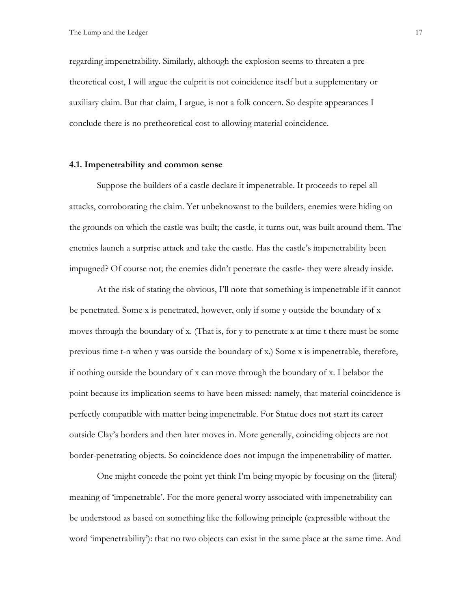regarding impenetrability. Similarly, although the explosion seems to threaten a pretheoretical cost, I will argue the culprit is not coincidence itself but a supplementary or auxiliary claim. But that claim, I argue, is not a folk concern. So despite appearances I conclude there is no pretheoretical cost to allowing material coincidence.

#### **4.1. Impenetrability and common sense**

Suppose the builders of a castle declare it impenetrable. It proceeds to repel all attacks, corroborating the claim. Yet unbeknownst to the builders, enemies were hiding on the grounds on which the castle was built; the castle, it turns out, was built around them. The enemies launch a surprise attack and take the castle. Has the castle's impenetrability been impugned? Of course not; the enemies didn't penetrate the castle- they were already inside.

At the risk of stating the obvious, I'll note that something is impenetrable if it cannot be penetrated. Some x is penetrated, however, only if some y outside the boundary of x moves through the boundary of x. (That is, for y to penetrate x at time t there must be some previous time t-n when y was outside the boundary of x.) Some x is impenetrable, therefore, if nothing outside the boundary of x can move through the boundary of x. I belabor the point because its implication seems to have been missed: namely, that material coincidence is perfectly compatible with matter being impenetrable. For Statue does not start its career outside Clay's borders and then later moves in. More generally, coinciding objects are not border-penetrating objects. So coincidence does not impugn the impenetrability of matter.

One might concede the point yet think I'm being myopic by focusing on the (literal) meaning of 'impenetrable'. For the more general worry associated with impenetrability can be understood as based on something like the following principle (expressible without the word 'impenetrability'): that no two objects can exist in the same place at the same time. And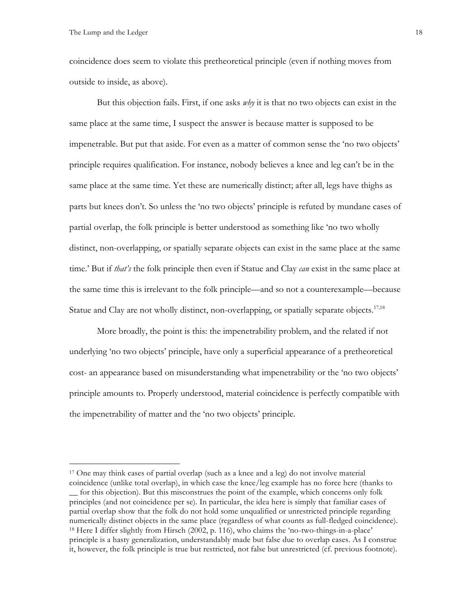coincidence does seem to violate this pretheoretical principle (even if nothing moves from outside to inside, as above).

But this objection fails. First, if one asks *why* it is that no two objects can exist in the same place at the same time, I suspect the answer is because matter is supposed to be impenetrable. But put that aside. For even as a matter of common sense the 'no two objects' principle requires qualification. For instance, nobody believes a knee and leg can't be in the same place at the same time. Yet these are numerically distinct; after all, legs have thighs as parts but knees don't. So unless the 'no two objects' principle is refuted by mundane cases of partial overlap, the folk principle is better understood as something like 'no two wholly distinct, non-overlapping, or spatially separate objects can exist in the same place at the same time.' But if *that's* the folk principle then even if Statue and Clay *can* exist in the same place at the same time this is irrelevant to the folk principle—and so not a counterexample—because Statue and Clay are not wholly distinct, non-overlapping, or spatially separate objects.<sup>17,18</sup>

More broadly, the point is this: the impenetrability problem, and the related if not underlying 'no two objects' principle, have only a superficial appearance of a pretheoretical cost- an appearance based on misunderstanding what impenetrability or the 'no two objects' principle amounts to. Properly understood, material coincidence is perfectly compatible with the impenetrability of matter and the 'no two objects' principle.

<sup>17</sup> One may think cases of partial overlap (such as a knee and a leg) do not involve material coincidence (unlike total overlap), in which case the knee/leg example has no force here (thanks to

for this objection). But this misconstrues the point of the example, which concerns only folk principles (and not coincidence per se). In particular, the idea here is simply that familiar cases of partial overlap show that the folk do not hold some unqualified or unrestricted principle regarding numerically distinct objects in the same place (regardless of what counts as full-fledged coincidence). <sup>18</sup> Here I differ slightly from Hirsch (2002, p. 116), who claims the 'no-two-things-in-a-place' principle is a hasty generalization, understandably made but false due to overlap cases. As I construe it, however, the folk principle is true but restricted, not false but unrestricted (cf. previous footnote).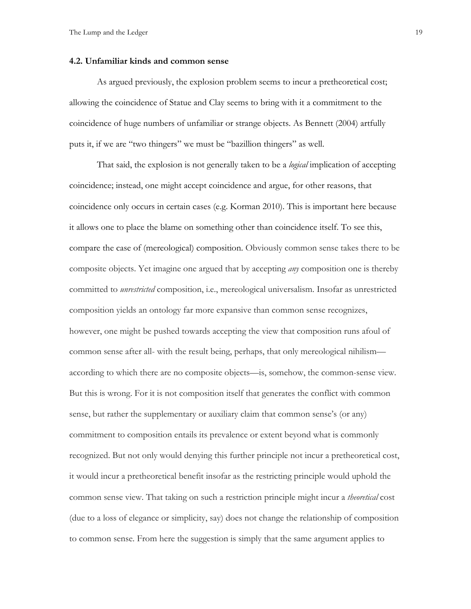#### **4.2. Unfamiliar kinds and common sense**

As argued previously, the explosion problem seems to incur a pretheoretical cost; allowing the coincidence of Statue and Clay seems to bring with it a commitment to the coincidence of huge numbers of unfamiliar or strange objects. As Bennett (2004) artfully puts it, if we are "two thingers" we must be "bazillion thingers" as well.

That said, the explosion is not generally taken to be a *logical* implication of accepting coincidence; instead, one might accept coincidence and argue, for other reasons, that coincidence only occurs in certain cases (e.g. Korman 2010). This is important here because it allows one to place the blame on something other than coincidence itself. To see this, compare the case of (mereological) composition. Obviously common sense takes there to be composite objects. Yet imagine one argued that by accepting *any* composition one is thereby committed to *unrestricted* composition, i.e., mereological universalism. Insofar as unrestricted composition yields an ontology far more expansive than common sense recognizes, however, one might be pushed towards accepting the view that composition runs afoul of common sense after all- with the result being, perhaps, that only mereological nihilism according to which there are no composite objects—is, somehow, the common-sense view. But this is wrong. For it is not composition itself that generates the conflict with common sense, but rather the supplementary or auxiliary claim that common sense's (or any) commitment to composition entails its prevalence or extent beyond what is commonly recognized. But not only would denying this further principle not incur a pretheoretical cost, it would incur a pretheoretical benefit insofar as the restricting principle would uphold the common sense view. That taking on such a restriction principle might incur a *theoretical* cost (due to a loss of elegance or simplicity, say) does not change the relationship of composition to common sense. From here the suggestion is simply that the same argument applies to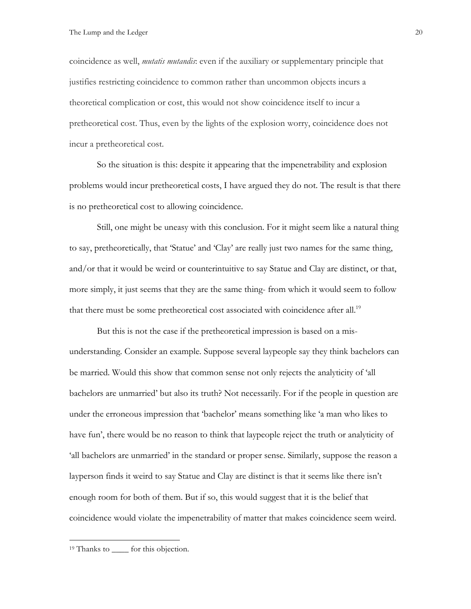coincidence as well, *mutatis mutandis*: even if the auxiliary or supplementary principle that justifies restricting coincidence to common rather than uncommon objects incurs a theoretical complication or cost, this would not show coincidence itself to incur a pretheoretical cost. Thus, even by the lights of the explosion worry, coincidence does not incur a pretheoretical cost.

So the situation is this: despite it appearing that the impenetrability and explosion problems would incur pretheoretical costs, I have argued they do not. The result is that there is no pretheoretical cost to allowing coincidence.

Still, one might be uneasy with this conclusion. For it might seem like a natural thing to say, pretheoretically, that 'Statue' and 'Clay' are really just two names for the same thing, and/or that it would be weird or counterintuitive to say Statue and Clay are distinct, or that, more simply, it just seems that they are the same thing- from which it would seem to follow that there must be some pretheoretical cost associated with coincidence after all.<sup>19</sup>

But this is not the case if the pretheoretical impression is based on a misunderstanding. Consider an example. Suppose several laypeople say they think bachelors can be married. Would this show that common sense not only rejects the analyticity of 'all bachelors are unmarried' but also its truth? Not necessarily. For if the people in question are under the erroneous impression that 'bachelor' means something like 'a man who likes to have fun', there would be no reason to think that laypeople reject the truth or analyticity of 'all bachelors are unmarried' in the standard or proper sense. Similarly, suppose the reason a layperson finds it weird to say Statue and Clay are distinct is that it seems like there isn't enough room for both of them. But if so, this would suggest that it is the belief that coincidence would violate the impenetrability of matter that makes coincidence seem weird.

 $\overline{a}$ 

<sup>&</sup>lt;sup>19</sup> Thanks to \_\_\_\_\_ for this objection.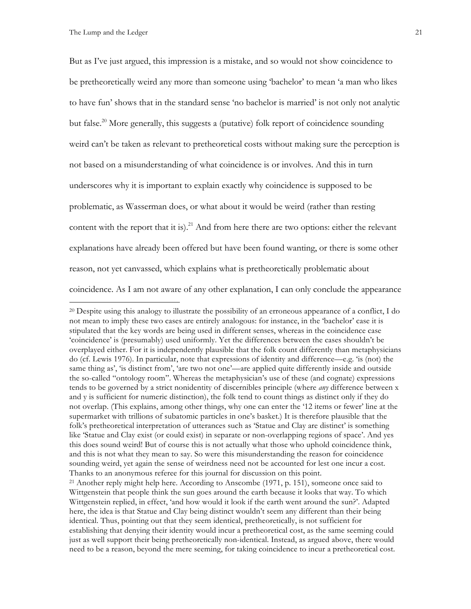But as I've just argued, this impression is a mistake, and so would not show coincidence to be pretheoretically weird any more than someone using 'bachelor' to mean 'a man who likes to have fun' shows that in the standard sense 'no bachelor is married' is not only not analytic but false.<sup>20</sup> More generally, this suggests a (putative) folk report of coincidence sounding weird can't be taken as relevant to pretheoretical costs without making sure the perception is not based on a misunderstanding of what coincidence is or involves. And this in turn underscores why it is important to explain exactly why coincidence is supposed to be problematic, as Wasserman does, or what about it would be weird (rather than resting content with the report that it is).<sup>21</sup> And from here there are two options: either the relevant explanations have already been offered but have been found wanting, or there is some other reason, not yet canvassed, which explains what is pretheoretically problematic about coincidence. As I am not aware of any other explanation, I can only conclude the appearance

<sup>&</sup>lt;sup>20</sup> Despite using this analogy to illustrate the possibility of an erroneous appearance of a conflict, I do not mean to imply these two cases are entirely analogous: for instance, in the 'bachelor' case it is stipulated that the key words are being used in different senses, whereas in the coincidence case 'coincidence' is (presumably) used uniformly. Yet the differences between the cases shouldn't be overplayed either. For it is independently plausible that the folk count differently than metaphysicians do (cf. Lewis 1976). In particular, note that expressions of identity and difference—e.g. 'is (not) the same thing as', 'is distinct from', 'are two not one'—are applied quite differently inside and outside the so-called "ontology room". Whereas the metaphysician's use of these (and cognate) expressions tends to be governed by a strict nonidentity of discernibles principle (where *any* difference between x and y is sufficient for numeric distinction), the folk tend to count things as distinct only if they do not overlap. (This explains, among other things, why one can enter the '12 items or fewer' line at the supermarket with trillions of subatomic particles in one's basket.) It is therefore plausible that the folk's pretheoretical interpretation of utterances such as 'Statue and Clay are distinct' is something like 'Statue and Clay exist (or could exist) in separate or non-overlapping regions of space'. And yes this does sound weird! But of course this is not actually what those who uphold coincidence think, and this is not what they mean to say. So were this misunderstanding the reason for coincidence sounding weird, yet again the sense of weirdness need not be accounted for lest one incur a cost. Thanks to an anonymous referee for this journal for discussion on this point. <sup>21</sup> Another reply might help here. According to Anscombe  $(1971, p. 151)$ , someone once said to Wittgenstein that people think the sun goes around the earth because it looks that way. To which Wittgenstein replied, in effect, 'and how would it look if the earth went around the sun?'. Adapted

here, the idea is that Statue and Clay being distinct wouldn't seem any different than their being identical. Thus, pointing out that they seem identical, pretheoretically, is not sufficient for establishing that denying their identity would incur a pretheoretical cost, as the same seeming could just as well support their being pretheoretically non-identical. Instead, as argued above, there would need to be a reason, beyond the mere seeming, for taking coincidence to incur a pretheoretical cost.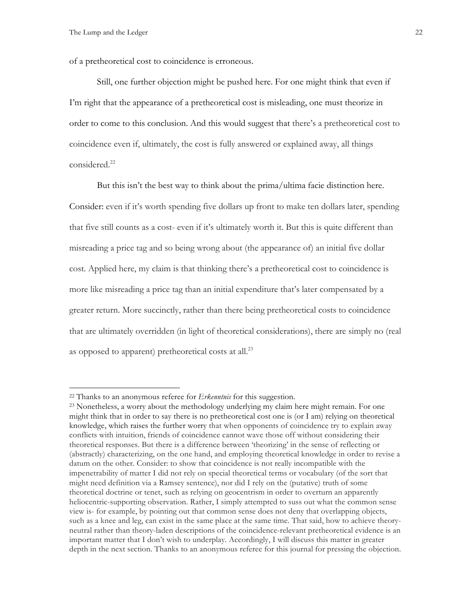of a pretheoretical cost to coincidence is erroneous.

Still, one further objection might be pushed here. For one might think that even if I'm right that the appearance of a pretheoretical cost is misleading, one must theorize in order to come to this conclusion. And this would suggest that there's a pretheoretical cost to coincidence even if, ultimately, the cost is fully answered or explained away, all things considered.<sup>22</sup>

But this isn't the best way to think about the prima/ultima facie distinction here. Consider: even if it's worth spending five dollars up front to make ten dollars later, spending that five still counts as a cost- even if it's ultimately worth it. But this is quite different than misreading a price tag and so being wrong about (the appearance of) an initial five dollar cost. Applied here, my claim is that thinking there's a pretheoretical cost to coincidence is more like misreading a price tag than an initial expenditure that's later compensated by a greater return. More succinctly, rather than there being pretheoretical costs to coincidence that are ultimately overridden (in light of theoretical considerations), there are simply no (real as opposed to apparent) pretheoretical costs at all.<sup>23</sup>

<sup>22</sup> Thanks to an anonymous referee for *Erkenntnis* for this suggestion.

<sup>&</sup>lt;sup>23</sup> Nonetheless, a worry about the methodology underlying my claim here might remain. For one might think that in order to say there is no pretheoretical cost one is (or I am) relying on theoretical knowledge, which raises the further worry that when opponents of coincidence try to explain away conflicts with intuition, friends of coincidence cannot wave those off without considering their theoretical responses. But there is a difference between 'theorizing' in the sense of reflecting or (abstractly) characterizing, on the one hand, and employing theoretical knowledge in order to revise a datum on the other. Consider: to show that coincidence is not really incompatible with the impenetrability of matter I did not rely on special theoretical terms or vocabulary (of the sort that might need definition via a Ramsey sentence), nor did I rely on the (putative) truth of some theoretical doctrine or tenet, such as relying on geocentrism in order to overturn an apparently heliocentric-supporting observation. Rather, I simply attempted to suss out what the common sense view is- for example, by pointing out that common sense does not deny that overlapping objects, such as a knee and leg, can exist in the same place at the same time. That said, how to achieve theoryneutral rather than theory-laden descriptions of the coincidence-relevant pretheoretical evidence is an important matter that I don't wish to underplay. Accordingly, I will discuss this matter in greater depth in the next section. Thanks to an anonymous referee for this journal for pressing the objection.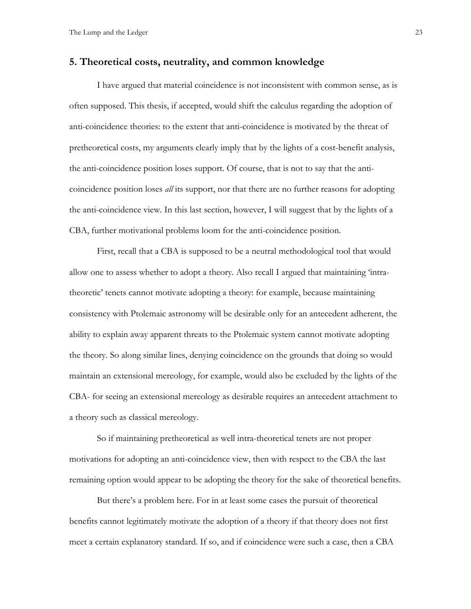### **5. Theoretical costs, neutrality, and common knowledge**

I have argued that material coincidence is not inconsistent with common sense, as is often supposed. This thesis, if accepted, would shift the calculus regarding the adoption of anti-coincidence theories: to the extent that anti-coincidence is motivated by the threat of pretheoretical costs, my arguments clearly imply that by the lights of a cost-benefit analysis, the anti-coincidence position loses support. Of course, that is not to say that the anticoincidence position loses *all* its support, nor that there are no further reasons for adopting the anti-coincidence view. In this last section, however, I will suggest that by the lights of a CBA, further motivational problems loom for the anti-coincidence position.

First, recall that a CBA is supposed to be a neutral methodological tool that would allow one to assess whether to adopt a theory. Also recall I argued that maintaining 'intratheoretic' tenets cannot motivate adopting a theory: for example, because maintaining consistency with Ptolemaic astronomy will be desirable only for an antecedent adherent, the ability to explain away apparent threats to the Ptolemaic system cannot motivate adopting the theory. So along similar lines, denying coincidence on the grounds that doing so would maintain an extensional mereology, for example, would also be excluded by the lights of the CBA- for seeing an extensional mereology as desirable requires an antecedent attachment to a theory such as classical mereology.

So if maintaining pretheoretical as well intra-theoretical tenets are not proper motivations for adopting an anti-coincidence view, then with respect to the CBA the last remaining option would appear to be adopting the theory for the sake of theoretical benefits.

But there's a problem here. For in at least some cases the pursuit of theoretical benefits cannot legitimately motivate the adoption of a theory if that theory does not first meet a certain explanatory standard. If so, and if coincidence were such a case, then a CBA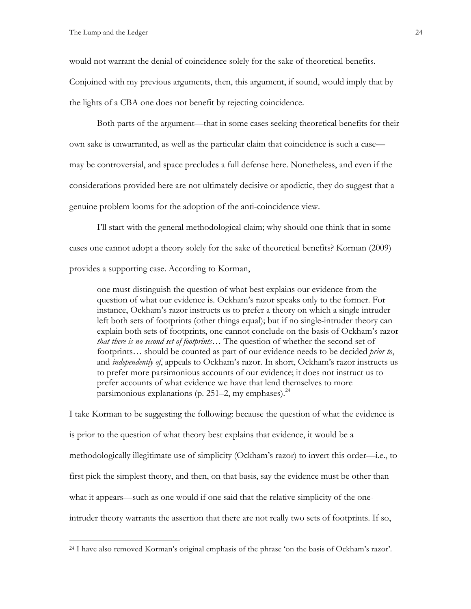would not warrant the denial of coincidence solely for the sake of theoretical benefits.

Conjoined with my previous arguments, then, this argument, if sound, would imply that by the lights of a CBA one does not benefit by rejecting coincidence.

Both parts of the argument—that in some cases seeking theoretical benefits for their own sake is unwarranted, as well as the particular claim that coincidence is such a case may be controversial, and space precludes a full defense here. Nonetheless, and even if the considerations provided here are not ultimately decisive or apodictic, they do suggest that a genuine problem looms for the adoption of the anti-coincidence view.

I'll start with the general methodological claim; why should one think that in some cases one cannot adopt a theory solely for the sake of theoretical benefits? Korman (2009) provides a supporting case. According to Korman,

one must distinguish the question of what best explains our evidence from the question of what our evidence is. Ockham's razor speaks only to the former. For instance, Ockham's razor instructs us to prefer a theory on which a single intruder left both sets of footprints (other things equal); but if no single-intruder theory can explain both sets of footprints, one cannot conclude on the basis of Ockham's razor *that there is no second set of footprints*… The question of whether the second set of footprints… should be counted as part of our evidence needs to be decided *prior to*, and *independently of*, appeals to Ockham's razor. In short, Ockham's razor instructs us to prefer more parsimonious accounts of our evidence; it does not instruct us to prefer accounts of what evidence we have that lend themselves to more parsimonious explanations (p. 251–2, my emphases). $^{24}$ 

I take Korman to be suggesting the following: because the question of what the evidence is is prior to the question of what theory best explains that evidence, it would be a methodologically illegitimate use of simplicity (Ockham's razor) to invert this order—i.e., to first pick the simplest theory, and then, on that basis, say the evidence must be other than what it appears—such as one would if one said that the relative simplicity of the oneintruder theory warrants the assertion that there are not really two sets of footprints. If so,

<sup>24</sup> I have also removed Korman's original emphasis of the phrase 'on the basis of Ockham's razor'.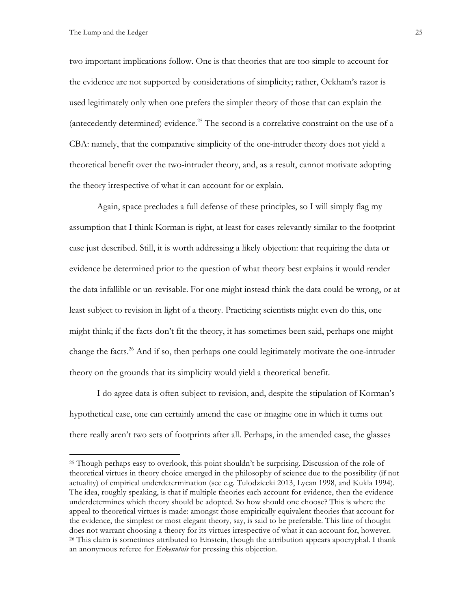two important implications follow. One is that theories that are too simple to account for the evidence are not supported by considerations of simplicity; rather, Ockham's razor is used legitimately only when one prefers the simpler theory of those that can explain the (antecedently determined) evidence.<sup>25</sup> The second is a correlative constraint on the use of a CBA: namely, that the comparative simplicity of the one-intruder theory does not yield a theoretical benefit over the two-intruder theory, and, as a result, cannot motivate adopting the theory irrespective of what it can account for or explain.

Again, space precludes a full defense of these principles, so I will simply flag my assumption that I think Korman is right, at least for cases relevantly similar to the footprint case just described. Still, it is worth addressing a likely objection: that requiring the data or evidence be determined prior to the question of what theory best explains it would render the data infallible or un-revisable. For one might instead think the data could be wrong, or at least subject to revision in light of a theory. Practicing scientists might even do this, one might think; if the facts don't fit the theory, it has sometimes been said, perhaps one might change the facts.<sup>26</sup> And if so, then perhaps one could legitimately motivate the one-intruder theory on the grounds that its simplicity would yield a theoretical benefit.

I do agree data is often subject to revision, and, despite the stipulation of Korman's hypothetical case, one can certainly amend the case or imagine one in which it turns out there really aren't two sets of footprints after all. Perhaps, in the amended case, the glasses

<sup>25</sup> Though perhaps easy to overlook, this point shouldn't be surprising. Discussion of the role of theoretical virtues in theory choice emerged in the philosophy of science due to the possibility (if not actuality) of empirical underdetermination (see e.g. Tulodziecki 2013, Lycan 1998, and Kukla 1994). The idea, roughly speaking, is that if multiple theories each account for evidence, then the evidence underdetermines which theory should be adopted. So how should one choose? This is where the appeal to theoretical virtues is made: amongst those empirically equivalent theories that account for the evidence, the simplest or most elegant theory, say, is said to be preferable. This line of thought does not warrant choosing a theory for its virtues irrespective of what it can account for, however.  $26$  This claim is sometimes attributed to Einstein, though the attribution appears apocryphal. I thank an anonymous referee for *Erkenntnis* for pressing this objection.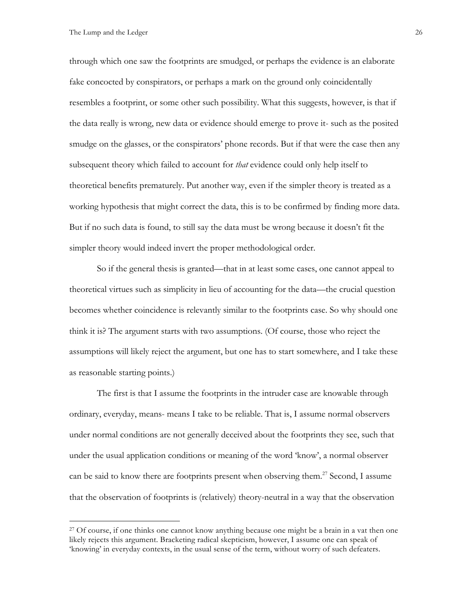through which one saw the footprints are smudged, or perhaps the evidence is an elaborate fake concocted by conspirators, or perhaps a mark on the ground only coincidentally resembles a footprint, or some other such possibility. What this suggests, however, is that if the data really is wrong, new data or evidence should emerge to prove it- such as the posited smudge on the glasses, or the conspirators' phone records. But if that were the case then any subsequent theory which failed to account for *that* evidence could only help itself to theoretical benefits prematurely. Put another way, even if the simpler theory is treated as a working hypothesis that might correct the data, this is to be confirmed by finding more data. But if no such data is found, to still say the data must be wrong because it doesn't fit the simpler theory would indeed invert the proper methodological order.

So if the general thesis is granted—that in at least some cases, one cannot appeal to theoretical virtues such as simplicity in lieu of accounting for the data—the crucial question becomes whether coincidence is relevantly similar to the footprints case. So why should one think it is? The argument starts with two assumptions. (Of course, those who reject the assumptions will likely reject the argument, but one has to start somewhere, and I take these as reasonable starting points.)

The first is that I assume the footprints in the intruder case are knowable through ordinary, everyday, means- means I take to be reliable. That is, I assume normal observers under normal conditions are not generally deceived about the footprints they see, such that under the usual application conditions or meaning of the word 'know', a normal observer can be said to know there are footprints present when observing them.<sup>27</sup> Second, I assume that the observation of footprints is (relatively) theory-neutral in a way that the observation

<sup>&</sup>lt;sup>27</sup> Of course, if one thinks one cannot know anything because one might be a brain in a vat then one likely rejects this argument. Bracketing radical skepticism, however, I assume one can speak of 'knowing' in everyday contexts, in the usual sense of the term, without worry of such defeaters.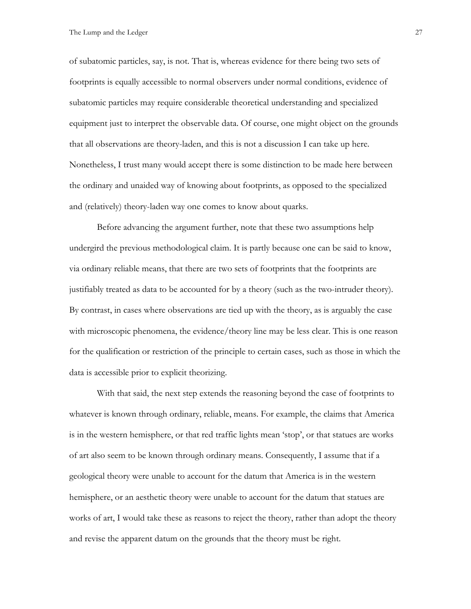of subatomic particles, say, is not. That is, whereas evidence for there being two sets of footprints is equally accessible to normal observers under normal conditions, evidence of subatomic particles may require considerable theoretical understanding and specialized equipment just to interpret the observable data. Of course, one might object on the grounds that all observations are theory-laden, and this is not a discussion I can take up here. Nonetheless, I trust many would accept there is some distinction to be made here between the ordinary and unaided way of knowing about footprints, as opposed to the specialized and (relatively) theory-laden way one comes to know about quarks.

Before advancing the argument further, note that these two assumptions help undergird the previous methodological claim. It is partly because one can be said to know, via ordinary reliable means, that there are two sets of footprints that the footprints are justifiably treated as data to be accounted for by a theory (such as the two-intruder theory). By contrast, in cases where observations are tied up with the theory, as is arguably the case with microscopic phenomena, the evidence/theory line may be less clear. This is one reason for the qualification or restriction of the principle to certain cases, such as those in which the data is accessible prior to explicit theorizing.

With that said, the next step extends the reasoning beyond the case of footprints to whatever is known through ordinary, reliable, means. For example, the claims that America is in the western hemisphere, or that red traffic lights mean 'stop', or that statues are works of art also seem to be known through ordinary means. Consequently, I assume that if a geological theory were unable to account for the datum that America is in the western hemisphere, or an aesthetic theory were unable to account for the datum that statues are works of art, I would take these as reasons to reject the theory, rather than adopt the theory and revise the apparent datum on the grounds that the theory must be right.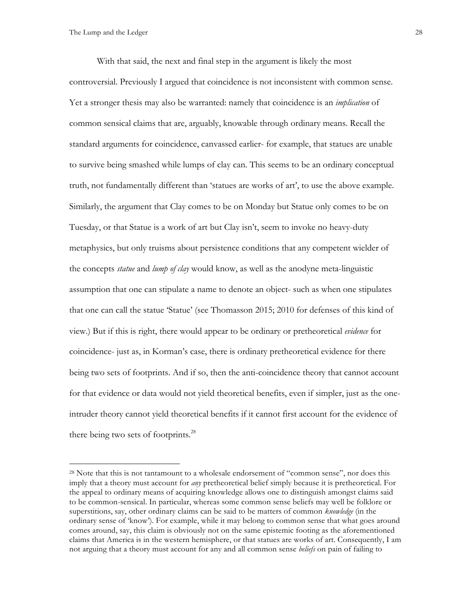With that said, the next and final step in the argument is likely the most controversial. Previously I argued that coincidence is not inconsistent with common sense. Yet a stronger thesis may also be warranted: namely that coincidence is an *implication* of common sensical claims that are, arguably, knowable through ordinary means. Recall the standard arguments for coincidence, canvassed earlier- for example, that statues are unable to survive being smashed while lumps of clay can. This seems to be an ordinary conceptual truth, not fundamentally different than 'statues are works of art', to use the above example. Similarly, the argument that Clay comes to be on Monday but Statue only comes to be on Tuesday, or that Statue is a work of art but Clay isn't, seem to invoke no heavy-duty metaphysics, but only truisms about persistence conditions that any competent wielder of the concepts *statue* and *lump of clay* would know, as well as the anodyne meta-linguistic assumption that one can stipulate a name to denote an object- such as when one stipulates that one can call the statue 'Statue' (see Thomasson 2015; 2010 for defenses of this kind of view.) But if this is right, there would appear to be ordinary or pretheoretical *evidence* for coincidence- just as, in Korman's case, there is ordinary pretheoretical evidence for there being two sets of footprints. And if so, then the anti-coincidence theory that cannot account for that evidence or data would not yield theoretical benefits, even if simpler, just as the one-

intruder theory cannot yield theoretical benefits if it cannot first account for the evidence of there being two sets of footprints. $^{28}$ 

<sup>&</sup>lt;sup>28</sup> Note that this is not tantamount to a wholesale endorsement of "common sense", nor does this imply that a theory must account for *any* pretheoretical belief simply because it is pretheoretical. For the appeal to ordinary means of acquiring knowledge allows one to distinguish amongst claims said to be common-sensical. In particular, whereas some common sense beliefs may well be folklore or superstitions, say, other ordinary claims can be said to be matters of common *knowledge* (in the ordinary sense of 'know'). For example, while it may belong to common sense that what goes around comes around, say, this claim is obviously not on the same epistemic footing as the aforementioned claims that America is in the western hemisphere, or that statues are works of art. Consequently, I am not arguing that a theory must account for any and all common sense *beliefs* on pain of failing to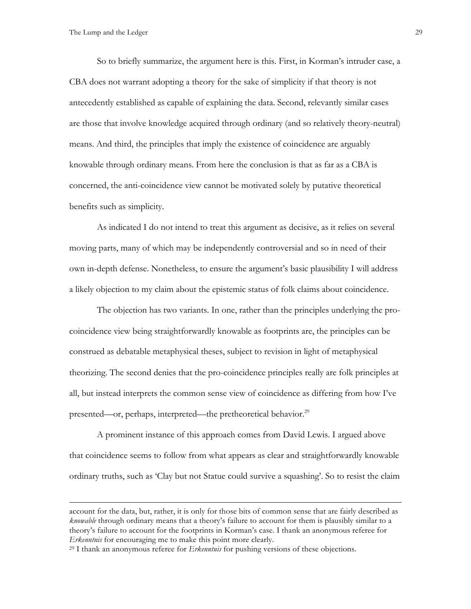So to briefly summarize, the argument here is this. First, in Korman's intruder case, a CBA does not warrant adopting a theory for the sake of simplicity if that theory is not antecedently established as capable of explaining the data. Second, relevantly similar cases are those that involve knowledge acquired through ordinary (and so relatively theory-neutral) means. And third, the principles that imply the existence of coincidence are arguably knowable through ordinary means. From here the conclusion is that as far as a CBA is concerned, the anti-coincidence view cannot be motivated solely by putative theoretical benefits such as simplicity.

As indicated I do not intend to treat this argument as decisive, as it relies on several moving parts, many of which may be independently controversial and so in need of their own in-depth defense. Nonetheless, to ensure the argument's basic plausibility I will address a likely objection to my claim about the epistemic status of folk claims about coincidence.

The objection has two variants. In one, rather than the principles underlying the procoincidence view being straightforwardly knowable as footprints are, the principles can be construed as debatable metaphysical theses, subject to revision in light of metaphysical theorizing. The second denies that the pro-coincidence principles really are folk principles at all, but instead interprets the common sense view of coincidence as differing from how I've presented—or, perhaps, interpreted—the pretheoretical behavior.<sup>29</sup>

A prominent instance of this approach comes from David Lewis. I argued above that coincidence seems to follow from what appears as clear and straightforwardly knowable ordinary truths, such as 'Clay but not Statue could survive a squashing'. So to resist the claim

account for the data, but, rather, it is only for those bits of common sense that are fairly described as *knowable* through ordinary means that a theory's failure to account for them is plausibly similar to a theory's failure to account for the footprints in Korman's case. I thank an anonymous referee for *Erkenntnis* for encouraging me to make this point more clearly.

<sup>29</sup> I thank an anonymous referee for *Erkenntnis* for pushing versions of these objections.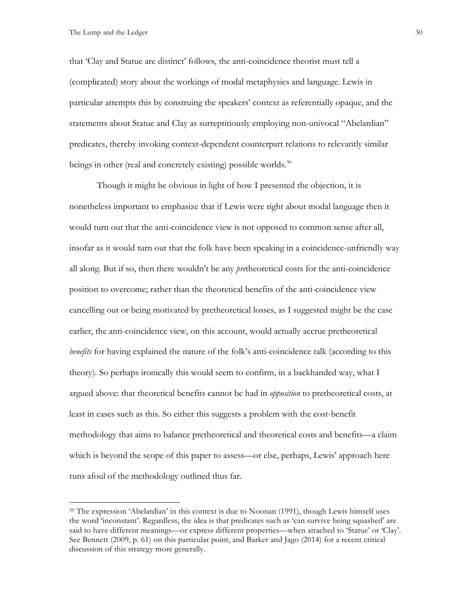that 'Clay and Statue are distinct' follows, the anti-coincidence theorist must tell a (complicated) story about the workings of modal metaphysics and language. Lewis in particular attempts this by construing the speakers' context as referentially opaque, and the statements about Statue and Clay as surreptitiously employing non-univocal "Abelardian" predicates, thereby invoking context-dependent counterpart relations to relevantly similar beings in other (real and concretely existing) possible worlds.<sup>30</sup>

Though it might be obvious in light of how I presented the objection, it is nonetheless important to emphasize that if Lewis were right about modal language then it would turn out that the anti-coincidence view is not opposed to common sense after all, insofar as it would turn out that the folk have been speaking in a coincidence-unfriendly way all along. But if so, then there wouldn't be any *pre*theoretical costs for the anti-coincidence position to overcome; rather than the theoretical benefits of the anti-coincidence view cancelling out or being motivated by pretheoretical losses, as I suggested might be the case earlier, the anti-coincidence view, on this account, would actually accrue pretheoretical *benefits* for having explained the nature of the folk's anti-coincidence talk (according to this theory). So perhaps ironically this would seem to confirm, in a backhanded way, what I argued above: that theoretical benefits cannot be had in *opposition* to pretheoretical costs, at least in cases such as this. So either this suggests a problem with the cost-benefit methodology that aims to balance pretheoretical and theoretical costs and benefits—a claim which is beyond the scope of this paper to assess—or else, perhaps, Lewis' approach here runs afoul of the methodology outlined thus far.

<sup>30</sup> The expression 'Abelardian' in this context is due to Noonan (1991), though Lewis himself uses the word 'inconstant'. Regardless, the idea is that predicates such as 'can survive being squashed' are said to have different meanings—or express different properties—when attached to 'Statue' or 'Clay'. See Bennett (2009, p. 61) on this particular point, and Barker and Jago (2014) for a recent critical discussion of this strategy more generally.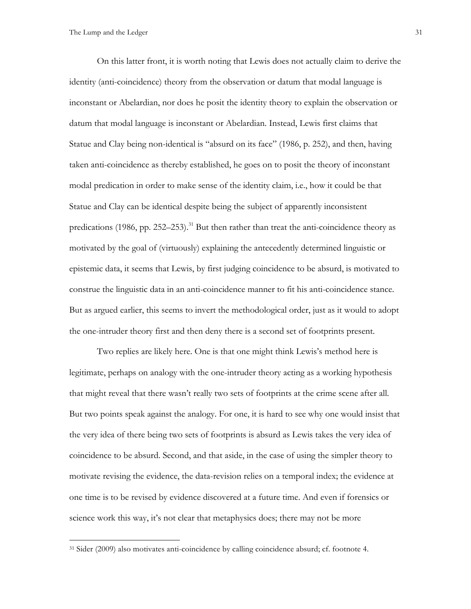On this latter front, it is worth noting that Lewis does not actually claim to derive the identity (anti-coincidence) theory from the observation or datum that modal language is inconstant or Abelardian, nor does he posit the identity theory to explain the observation or datum that modal language is inconstant or Abelardian. Instead, Lewis first claims that Statue and Clay being non-identical is "absurd on its face" (1986, p. 252), and then, having taken anti-coincidence as thereby established, he goes on to posit the theory of inconstant modal predication in order to make sense of the identity claim, i.e., how it could be that Statue and Clay can be identical despite being the subject of apparently inconsistent predications (1986, pp. 252–253).<sup>31</sup> But then rather than treat the anti-coincidence theory as motivated by the goal of (virtuously) explaining the antecedently determined linguistic or epistemic data, it seems that Lewis, by first judging coincidence to be absurd, is motivated to construe the linguistic data in an anti-coincidence manner to fit his anti-coincidence stance. But as argued earlier, this seems to invert the methodological order, just as it would to adopt the one-intruder theory first and then deny there is a second set of footprints present.

Two replies are likely here. One is that one might think Lewis's method here is legitimate, perhaps on analogy with the one-intruder theory acting as a working hypothesis that might reveal that there wasn't really two sets of footprints at the crime scene after all. But two points speak against the analogy. For one, it is hard to see why one would insist that the very idea of there being two sets of footprints is absurd as Lewis takes the very idea of coincidence to be absurd. Second, and that aside, in the case of using the simpler theory to motivate revising the evidence, the data-revision relies on a temporal index; the evidence at one time is to be revised by evidence discovered at a future time. And even if forensics or science work this way, it's not clear that metaphysics does; there may not be more

<sup>31</sup> Sider (2009) also motivates anti-coincidence by calling coincidence absurd; cf. footnote 4.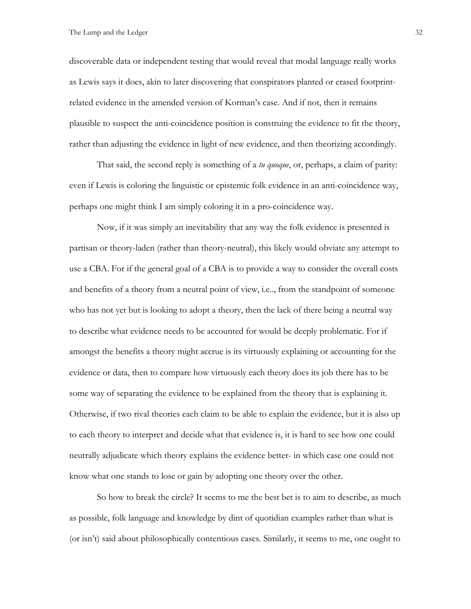discoverable data or independent testing that would reveal that modal language really works as Lewis says it does, akin to later discovering that conspirators planted or erased footprintrelated evidence in the amended version of Korman's case. And if not, then it remains plausible to suspect the anti-coincidence position is construing the evidence to fit the theory, rather than adjusting the evidence in light of new evidence, and then theorizing accordingly.

That said, the second reply is something of a *tu quoque*, or, perhaps, a claim of parity: even if Lewis is coloring the linguistic or epistemic folk evidence in an anti-coincidence way, perhaps one might think I am simply coloring it in a pro-coincidence way.

Now, if it was simply an inevitability that any way the folk evidence is presented is partisan or theory-laden (rather than theory-neutral), this likely would obviate any attempt to use a CBA. For if the general goal of a CBA is to provide a way to consider the overall costs and benefits of a theory from a neutral point of view, i.e.., from the standpoint of someone who has not yet but is looking to adopt a theory, then the lack of there being a neutral way to describe what evidence needs to be accounted for would be deeply problematic. For if amongst the benefits a theory might accrue is its virtuously explaining or accounting for the evidence or data, then to compare how virtuously each theory does its job there has to be some way of separating the evidence to be explained from the theory that is explaining it. Otherwise, if two rival theories each claim to be able to explain the evidence, but it is also up to each theory to interpret and decide what that evidence is, it is hard to see how one could neutrally adjudicate which theory explains the evidence better- in which case one could not know what one stands to lose or gain by adopting one theory over the other.

So how to break the circle? It seems to me the best bet is to aim to describe, as much as possible, folk language and knowledge by dint of quotidian examples rather than what is (or isn't) said about philosophically contentious cases. Similarly, it seems to me, one ought to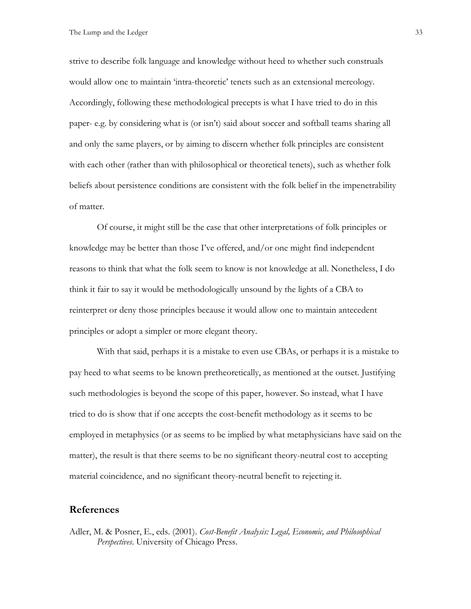strive to describe folk language and knowledge without heed to whether such construals would allow one to maintain 'intra-theoretic' tenets such as an extensional mereology. Accordingly, following these methodological precepts is what I have tried to do in this paper- e.g. by considering what is (or isn't) said about soccer and softball teams sharing all and only the same players, or by aiming to discern whether folk principles are consistent with each other (rather than with philosophical or theoretical tenets), such as whether folk beliefs about persistence conditions are consistent with the folk belief in the impenetrability of matter.

Of course, it might still be the case that other interpretations of folk principles or knowledge may be better than those I've offered, and/or one might find independent reasons to think that what the folk seem to know is not knowledge at all. Nonetheless, I do think it fair to say it would be methodologically unsound by the lights of a CBA to reinterpret or deny those principles because it would allow one to maintain antecedent principles or adopt a simpler or more elegant theory.

With that said, perhaps it is a mistake to even use CBAs, or perhaps it is a mistake to pay heed to what seems to be known pretheoretically, as mentioned at the outset. Justifying such methodologies is beyond the scope of this paper, however. So instead, what I have tried to do is show that if one accepts the cost-benefit methodology as it seems to be employed in metaphysics (or as seems to be implied by what metaphysicians have said on the matter), the result is that there seems to be no significant theory-neutral cost to accepting material coincidence, and no significant theory-neutral benefit to rejecting it.

### **References**

Adler, M. & Posner, E., eds. (2001). *Cost-Benefit Analysis: Legal, Economic, and Philosophical Perspectives*. University of Chicago Press.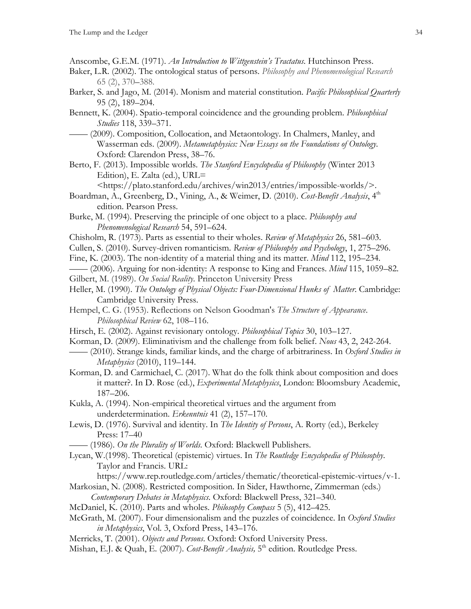- Anscombe, G.E.M. (1971). *An Introduction to Wittgenstein's Tractatus*. Hutchinson Press.
- Baker, L.R. (2002). The ontological status of persons. *Philosophy and Phenomenological Research* 65 (2), 370–388.
- Barker, S. and Jago, M. (2014). Monism and material constitution. *Pacific Philosophical Quarterly* 95 (2), 189–204.
- Bennett, K. (2004). Spatio-temporal coincidence and the grounding problem. *Philosophical Studies* 118, 339–371.
- —— (2009). Composition, Collocation, and Metaontology. In Chalmers, Manley, and Wasserman eds. (2009). *Metametaphysics: New Essays on the Foundations of Ontology*. Oxford: Clarendon Press, 38–76.
- Berto, F. (2013). Impossible worlds. *The Stanford Encyclopedia of Philosophy* (Winter 2013 Edition), E. Zalta (ed.), URL=

<https://plato.stanford.edu/archives/win2013/entries/impossible-worlds/>.

- Boardman, A., Greenberg, D., Vining, A., & Weimer, D. (2010). *Cost-Benefit Analysis*, 4<sup>th</sup> edition. Pearson Press.
- Burke, M. (1994). Preserving the principle of one object to a place. *Philosophy and Phenomenological Research* 54, 591–624.
- Chisholm, R. (1973). Parts as essential to their wholes. *Review of Metaphysics* 26, 581–603.
- Cullen, S. (2010). Survey-driven romanticism. *Review of Philosophy and Psychology*, 1, 275–296.
- Fine, K. (2003). The non-identity of a material thing and its matter. *Mind* 112, 195–234.
- —— (2006). Arguing for non-identity: A response to King and Frances. *Mind* 115, 1059–82. Gilbert, M. (1989). *On Social Reality*. Princeton University Press
- Heller, M. (1990). *The Ontology of Physical Objects: Four-Dimensional Hunks of Matter*. Cambridge: Cambridge University Press.
- Hempel, C. G. (1953). Reflections on Nelson Goodman's *The Structure of Appearance*. *Philosophical Review* 62, 108–116.
- Hirsch, E. (2002). Against revisionary ontology. *Philosophical Topics* 30, 103–127.

Korman, D. (2009). Eliminativism and the challenge from folk belief. *Nous* 43, 2, 242-264.

- —— (2010). Strange kinds, familiar kinds, and the charge of arbitrariness. In *Oxford Studies in Metaphysics* (2010), 119–144.
- Korman, D. and Carmichael, C. (2017). What do the folk think about composition and does it matter?. In D. Rose (ed.), *Experimental Metaphysics*, London: Bloomsbury Academic, 187–206.
- Kukla, A. (1994). Non-empirical theoretical virtues and the argument from underdetermination. *Erkenntnis* 41 (2), 157–170.
- Lewis, D. (1976). Survival and identity. In *The Identity of Persons*, A. Rorty (ed.), Berkeley Press: 17–40
- —— (1986). *On the Plurality of Worlds*. Oxford: Blackwell Publishers.
- Lycan, W.(1998). Theoretical (epistemic) virtues. In *The Routledge Encyclopedia of Philosophy*. Taylor and Francis. URL:
	- https://www.rep.routledge.com/articles/thematic/theoretical-epistemic-virtues/v-1.
- Markosian, N. (2008). Restricted composition. In Sider, Hawthorne, Zimmerman (eds.) *Contemporary Debates in Metaphysics*. Oxford: Blackwell Press, 321–340.
- McDaniel, K. (2010). Parts and wholes. *Philosophy Compass* 5 (5), 412–425.
- McGrath, M. (2007). Four dimensionalism and the puzzles of coincidence. In *Oxford Studies in Metaphysics*, Vol. 3, Oxford Press, 143–176.
- Merricks, T. (2001). *Objects and Persons*. Oxford: Oxford University Press.
- Mishan, E.J. & Quah, E. (2007). *Cost-Benefit Analysis*, 5<sup>th</sup> edition. Routledge Press.